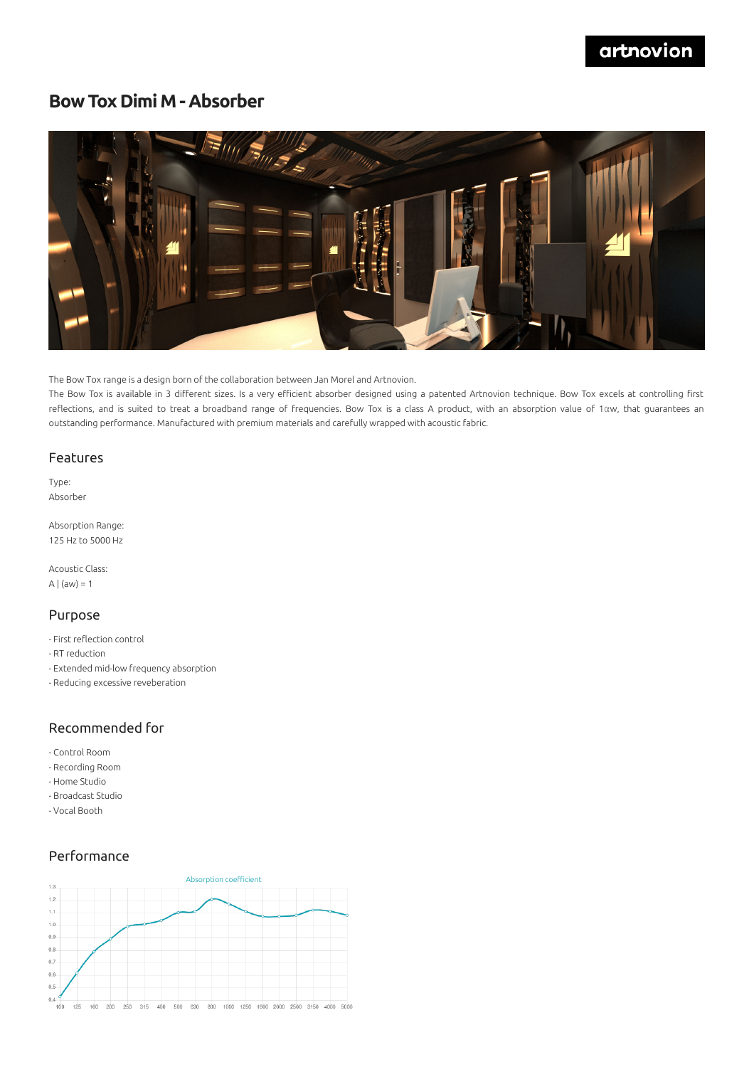# **Bow Tox Dimi M - Absorber**



The Bow Tox range is a design born of the collaboration between Jan Morel and Artnovion.

The Bow Tox is available in 3 different sizes. Is a very efficient absorber designed using a patented Artnovion technique. Bow Tox excels at controlling first reflections, and is suited to treat a broadband range of frequencies. Bow Tox is a class A product, with an absorption value of 1αw, that guarantees an outstanding performance. Manufactured with premium materials and carefully wrapped with acoustic fabric.

#### Features

Type: Absorber

Absorption Range: 125 Hz to 5000 Hz

Acoustic Class: A  $|$  (aw) = 1

#### Purpose

- First reflection control
- RT reduction
- Extended mid-low frequency absorption
- Reducing excessive reveberation

#### Recommended for

- Control Room
- Recording Room
- Home Studio
- Broadcast Studio
- Vocal Booth

### Performance

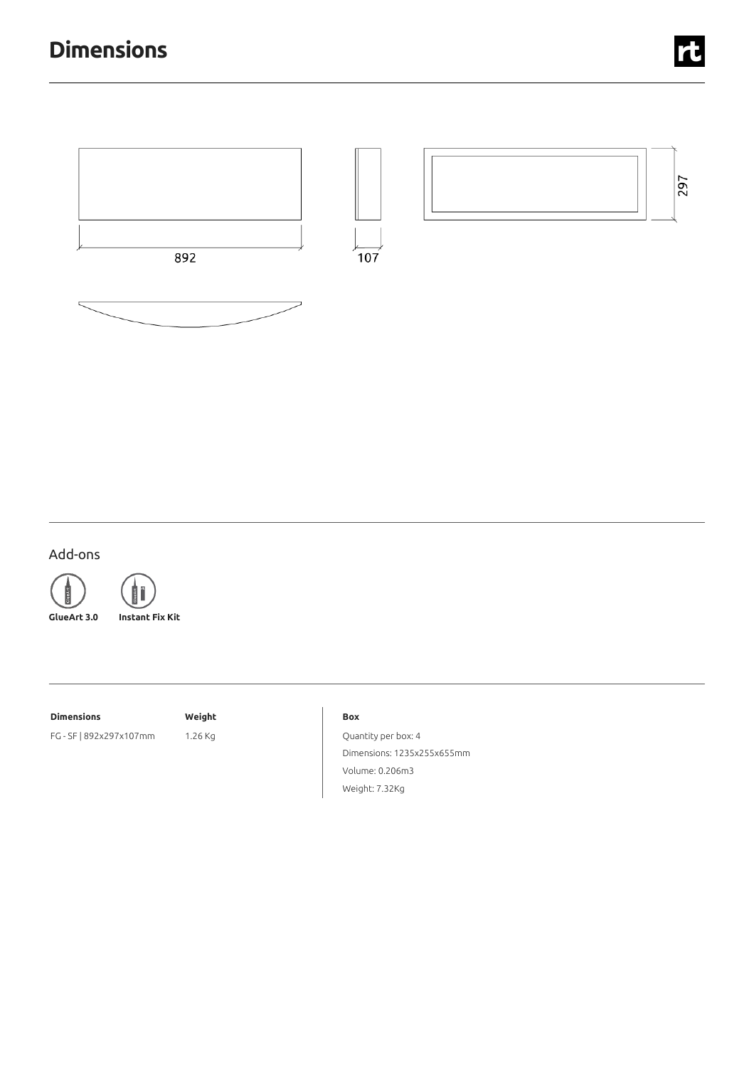

## Add-ons





**GlueArt 3.0 Instant Fix Kit**

#### **Dimensions Weight**

FG - SF | 892x297x107mm 1.26 Kg

#### **Box**

Quantity per box: 4 Dimensions: 1235x255x655mm Volume: 0.206m3 Weight: 7.32Kg